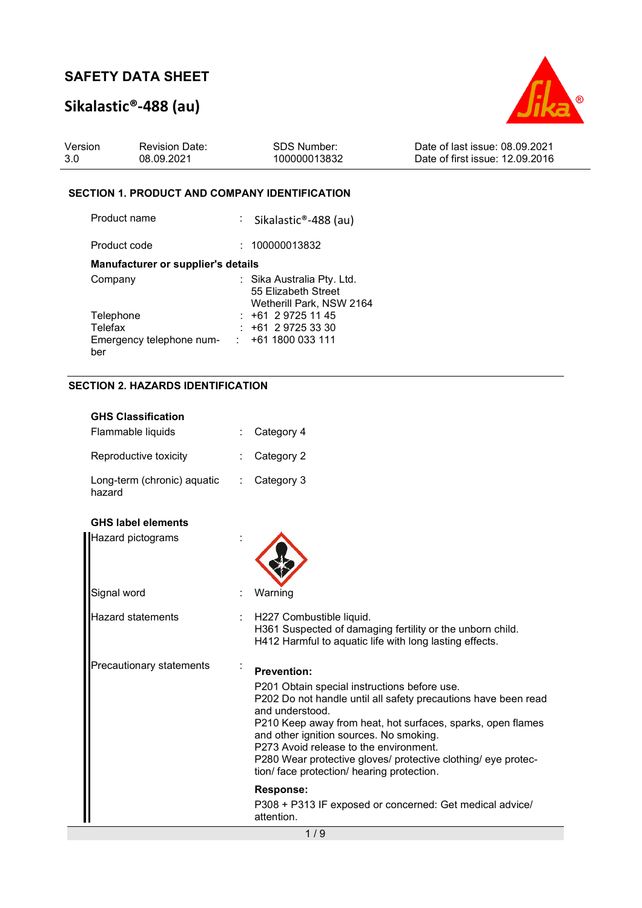# **Sikalastic®-488 (au)**



### **SECTION 1. PRODUCT AND COMPANY IDENTIFICATION**

| Product name                       | : Sikalastic®-488 (au)                                                        |
|------------------------------------|-------------------------------------------------------------------------------|
| Product code                       | : 100000013832                                                                |
| Manufacturer or supplier's details |                                                                               |
| Company                            | : Sika Australia Pty. Ltd.<br>55 Elizabeth Street<br>Wetherill Park, NSW 2164 |
| Telephone                          | $: +61297251145$                                                              |
| Telefax                            | $: +61297253330$                                                              |
| Emergency telephone num-<br>ber    | $: +611800033111$                                                             |

### **SECTION 2. HAZARDS IDENTIFICATION**

| <b>GHS Classification</b>             |                                                                                                                                                                                                                                                                                                                                                                                                      |
|---------------------------------------|------------------------------------------------------------------------------------------------------------------------------------------------------------------------------------------------------------------------------------------------------------------------------------------------------------------------------------------------------------------------------------------------------|
| Flammable liquids                     | Category 4                                                                                                                                                                                                                                                                                                                                                                                           |
| Reproductive toxicity                 | Category 2                                                                                                                                                                                                                                                                                                                                                                                           |
| Long-term (chronic) aquatic<br>hazard | Category 3                                                                                                                                                                                                                                                                                                                                                                                           |
| <b>GHS label elements</b>             |                                                                                                                                                                                                                                                                                                                                                                                                      |
| Hazard pictograms                     |                                                                                                                                                                                                                                                                                                                                                                                                      |
| Signal word                           | Warning                                                                                                                                                                                                                                                                                                                                                                                              |
| Hazard statements                     | H227 Combustible liquid.<br>H361 Suspected of damaging fertility or the unborn child.<br>H412 Harmful to aquatic life with long lasting effects.                                                                                                                                                                                                                                                     |
| Precautionary statements              | <b>Prevention:</b>                                                                                                                                                                                                                                                                                                                                                                                   |
|                                       | P201 Obtain special instructions before use.<br>P202 Do not handle until all safety precautions have been read<br>and understood.<br>P210 Keep away from heat, hot surfaces, sparks, open flames<br>and other ignition sources. No smoking.<br>P273 Avoid release to the environment.<br>P280 Wear protective gloves/ protective clothing/ eye protec-<br>tion/ face protection/ hearing protection. |
|                                       | Response:                                                                                                                                                                                                                                                                                                                                                                                            |
|                                       | P308 + P313 IF exposed or concerned: Get medical advice/<br>attention.                                                                                                                                                                                                                                                                                                                               |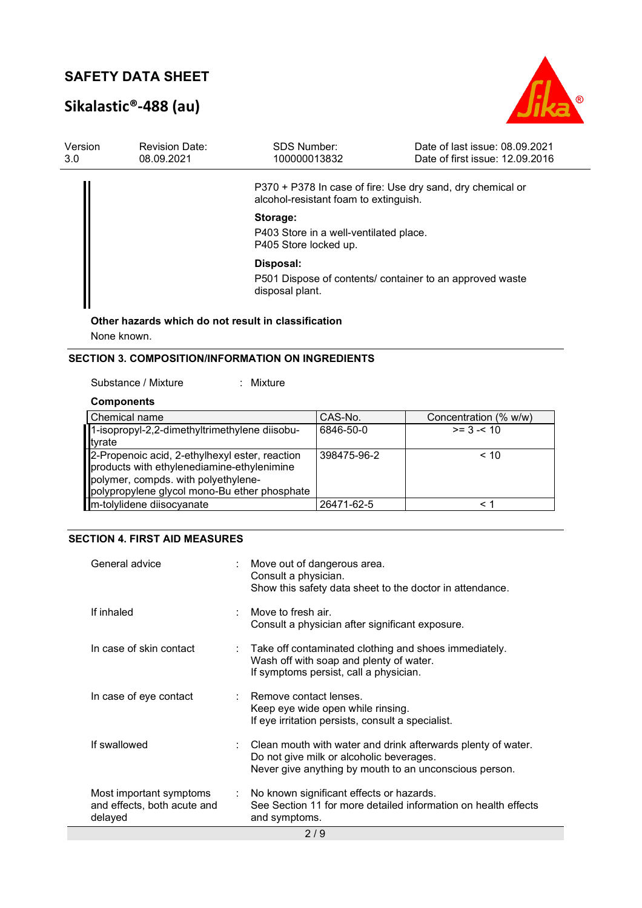# **Sikalastic®-488 (au)**



| Version<br>3.0 | <b>Revision Date:</b><br>08.09.2021                 | <b>SDS Number:</b><br>100000013832                                          | Date of last issue: 08.09.2021<br>Date of first issue: 12.09.2016 |
|----------------|-----------------------------------------------------|-----------------------------------------------------------------------------|-------------------------------------------------------------------|
|                |                                                     | alcohol-resistant foam to extinguish.                                       | P370 + P378 In case of fire: Use dry sand, dry chemical or        |
|                |                                                     | Storage:<br>P403 Store in a well-ventilated place.<br>P405 Store locked up. |                                                                   |
|                |                                                     | Disposal:<br>disposal plant.                                                | P501 Dispose of contents/ container to an approved waste          |
|                | Other hazards which do not result in classification |                                                                             |                                                                   |

None known.

### **SECTION 3. COMPOSITION/INFORMATION ON INGREDIENTS**

### Substance / Mixture : Mixture

### **Components**

| Chemical name                                                                                                                                                                       | CAS-No.     | Concentration (% w/w) |
|-------------------------------------------------------------------------------------------------------------------------------------------------------------------------------------|-------------|-----------------------|
| 1-isopropyl-2,2-dimethyltrimethylene diisobu-                                                                                                                                       | 6846-50-0   | $>= 3 - 10$           |
| tyrate                                                                                                                                                                              |             |                       |
| 2-Propenoic acid, 2-ethylhexyl ester, reaction<br>products with ethylenediamine-ethylenimine<br>polymer, compds. with polyethylene-<br>polypropylene glycol mono-Bu ether phosphate | 398475-96-2 | < 10                  |
| m-tolylidene diisocyanate                                                                                                                                                           | 26471-62-5  |                       |

### **SECTION 4. FIRST AID MEASURES**

| General advice                                                    | : Move out of dangerous area.<br>Consult a physician.<br>Show this safety data sheet to the doctor in attendance.                                                    |
|-------------------------------------------------------------------|----------------------------------------------------------------------------------------------------------------------------------------------------------------------|
| If inhaled                                                        | $\therefore$ Move to fresh air.<br>Consult a physician after significant exposure.                                                                                   |
| In case of skin contact                                           | $\therefore$ Take off contaminated clothing and shoes immediately.<br>Wash off with soap and plenty of water.<br>If symptoms persist, call a physician.              |
| In case of eye contact                                            | : Remove contact lenses.<br>Keep eye wide open while rinsing.<br>If eye irritation persists, consult a specialist.                                                   |
| If swallowed                                                      | : Clean mouth with water and drink afterwards plenty of water.<br>Do not give milk or alcoholic beverages.<br>Never give anything by mouth to an unconscious person. |
| Most important symptoms<br>and effects, both acute and<br>delayed | : No known significant effects or hazards.<br>See Section 11 for more detailed information on health effects<br>and symptoms.                                        |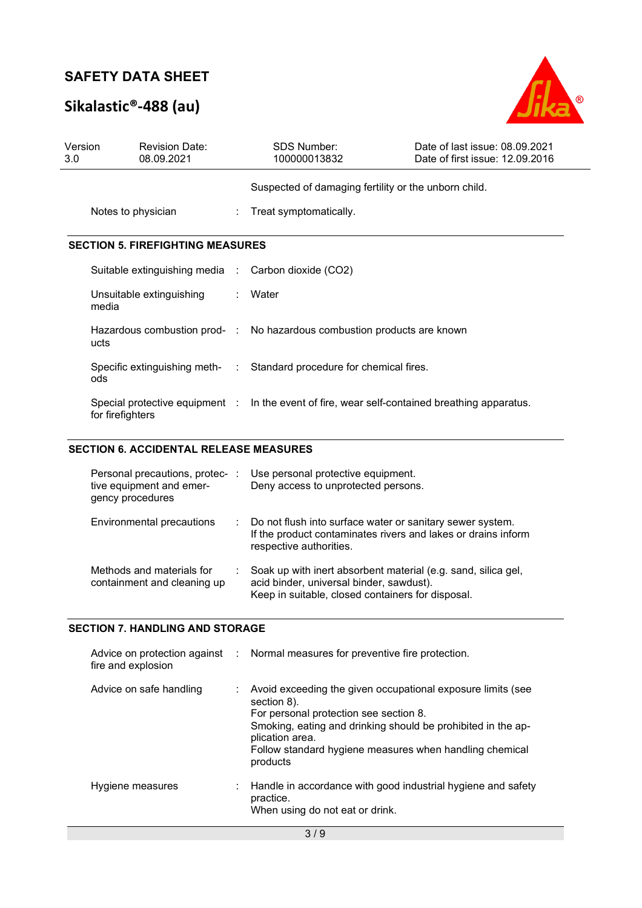# **Sikalastic®-488 (au)**



| Version<br>3.0 | <b>Revision Date:</b><br>08.09.2021                 | <b>SDS Number:</b><br>100000013832                                                            | Date of last issue: 08.09.2021<br>Date of first issue: 12.09.2016 |
|----------------|-----------------------------------------------------|-----------------------------------------------------------------------------------------------|-------------------------------------------------------------------|
|                |                                                     | Suspected of damaging fertility or the unborn child.                                          |                                                                   |
|                | Notes to physician                                  | : Treat symptomatically.                                                                      |                                                                   |
|                | <b>SECTION 5. FIREFIGHTING MEASURES</b>             |                                                                                               |                                                                   |
|                | Suitable extinguishing media : Carbon dioxide (CO2) |                                                                                               |                                                                   |
|                | Unsuitable extinguishing<br>media                   | : Water                                                                                       |                                                                   |
|                | ucts                                                | Hazardous combustion prod- : No hazardous combustion products are known                       |                                                                   |
|                | ods                                                 | Specific extinguishing meth- : Standard procedure for chemical fires.                         |                                                                   |
|                | for firefighters                                    | Special protective equipment : ln the event of fire, wear self-contained breathing apparatus. |                                                                   |

### **SECTION 6. ACCIDENTAL RELEASE MEASURES**

| Personal precautions, protec- :<br>tive equipment and emer-<br>gency procedures | Use personal protective equipment.<br>Deny access to unprotected persons.                                                                                      |
|---------------------------------------------------------------------------------|----------------------------------------------------------------------------------------------------------------------------------------------------------------|
| Environmental precautions                                                       | Do not flush into surface water or sanitary sewer system.<br>If the product contaminates rivers and lakes or drains inform<br>respective authorities.          |
| Methods and materials for<br>containment and cleaning up                        | Soak up with inert absorbent material (e.g. sand, silica gel,<br>acid binder, universal binder, sawdust).<br>Keep in suitable, closed containers for disposal. |

### **SECTION 7. HANDLING AND STORAGE**

| fire and explosion      |    | Advice on protection against : Normal measures for preventive fire protection.                                                                                                                                                                                                 |
|-------------------------|----|--------------------------------------------------------------------------------------------------------------------------------------------------------------------------------------------------------------------------------------------------------------------------------|
| Advice on safe handling | ÷. | Avoid exceeding the given occupational exposure limits (see<br>section 8).<br>For personal protection see section 8.<br>Smoking, eating and drinking should be prohibited in the ap-<br>plication area.<br>Follow standard hygiene measures when handling chemical<br>products |
| Hygiene measures        |    | $\therefore$ Handle in accordance with good industrial hygiene and safety<br>practice.<br>When using do not eat or drink.                                                                                                                                                      |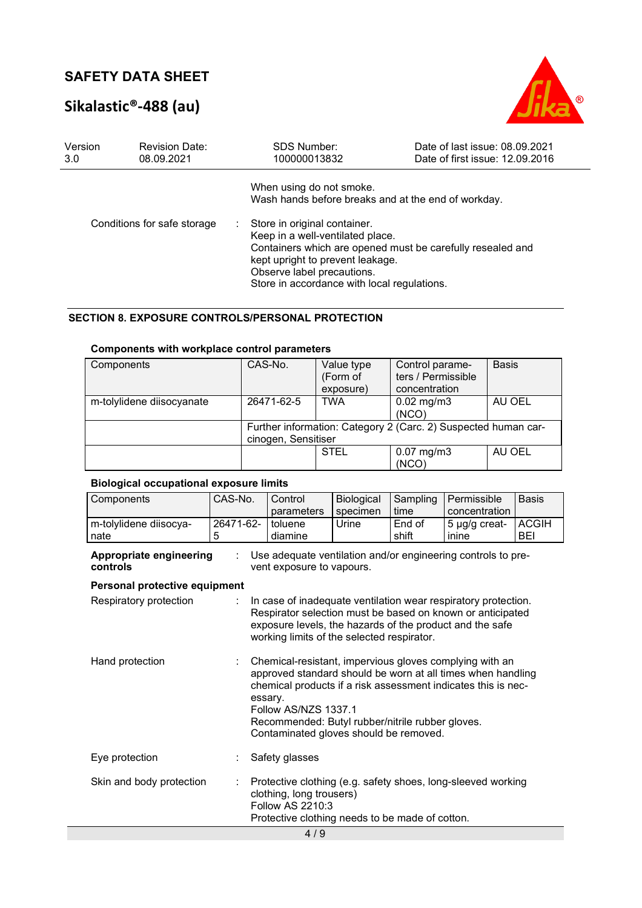# **Sikalastic®-488 (au)**



| Version<br>3.0              | <b>Revision Date:</b><br>08.09.2021 | <b>SDS Number:</b><br>100000013832                                                                                                                                                | Date of last issue: 08.09.2021<br>Date of first issue: 12.09.2016 |
|-----------------------------|-------------------------------------|-----------------------------------------------------------------------------------------------------------------------------------------------------------------------------------|-------------------------------------------------------------------|
|                             |                                     | When using do not smoke.<br>Wash hands before breaks and at the end of workday.                                                                                                   |                                                                   |
| Conditions for safe storage |                                     | Store in original container.<br>Keep in a well-ventilated place.<br>kept upright to prevent leakage.<br>Observe label precautions.<br>Store in accordance with local regulations. | Containers which are opened must be carefully resealed and        |

### **SECTION 8. EXPOSURE CONTROLS/PERSONAL PROTECTION**

### **Components with workplace control parameters**

| Components                | CAS-No.                                                                               | Value type<br>(Form of<br>exposure) | Control parame-<br>ters / Permissible<br>concentration | <b>Basis</b> |  |
|---------------------------|---------------------------------------------------------------------------------------|-------------------------------------|--------------------------------------------------------|--------------|--|
| m-tolylidene diisocyanate | 26471-62-5                                                                            | <b>TWA</b>                          | $0.02 \text{ mg/m}$ 3<br>(NCO)                         | AU OEL       |  |
|                           | Further information: Category 2 (Carc. 2) Suspected human car-<br>cinogen, Sensitiser |                                     |                                                        |              |  |
|                           |                                                                                       | <b>STEL</b>                         | $0.07$ mg/m $3$<br>(NCO)                               | AU OEL       |  |

### **Biological occupational exposure limits**

| Components                          | CAS-No.        | Control<br>parameters                                                                                                                                                                                                                  | Biological<br>specimen | Sampling<br>time | Permissible<br>concentration                                                                                                                                                            | <b>Basis</b>               |
|-------------------------------------|----------------|----------------------------------------------------------------------------------------------------------------------------------------------------------------------------------------------------------------------------------------|------------------------|------------------|-----------------------------------------------------------------------------------------------------------------------------------------------------------------------------------------|----------------------------|
| m-tolylidene diisocya-<br>nate      | 26471-62-<br>5 | toluene<br>diamine                                                                                                                                                                                                                     | Urine                  | End of<br>shift  | 5 µg/g creat-<br>inine                                                                                                                                                                  | <b>ACGIH</b><br><b>BEI</b> |
| Appropriate engineering<br>controls |                | Use adequate ventilation and/or engineering controls to pre-<br>vent exposure to vapours.                                                                                                                                              |                        |                  |                                                                                                                                                                                         |                            |
| Personal protective equipment       |                |                                                                                                                                                                                                                                        |                        |                  |                                                                                                                                                                                         |                            |
| Respiratory protection              |                | In case of inadequate ventilation wear respiratory protection.<br>Respirator selection must be based on known or anticipated<br>exposure levels, the hazards of the product and the safe<br>working limits of the selected respirator. |                        |                  |                                                                                                                                                                                         |                            |
| Hand protection                     |                | essary.<br>Follow AS/NZS 1337.1<br>Recommended: Butyl rubber/nitrile rubber gloves.<br>Contaminated gloves should be removed.                                                                                                          |                        |                  | Chemical-resistant, impervious gloves complying with an<br>approved standard should be worn at all times when handling<br>chemical products if a risk assessment indicates this is nec- |                            |
| Eye protection                      |                | Safety glasses                                                                                                                                                                                                                         |                        |                  |                                                                                                                                                                                         |                            |
| Skin and body protection            |                | clothing, long trousers)<br>Follow AS 2210:3<br>Protective clothing needs to be made of cotton.<br>110                                                                                                                                 |                        |                  | Protective clothing (e.g. safety shoes, long-sleeved working                                                                                                                            |                            |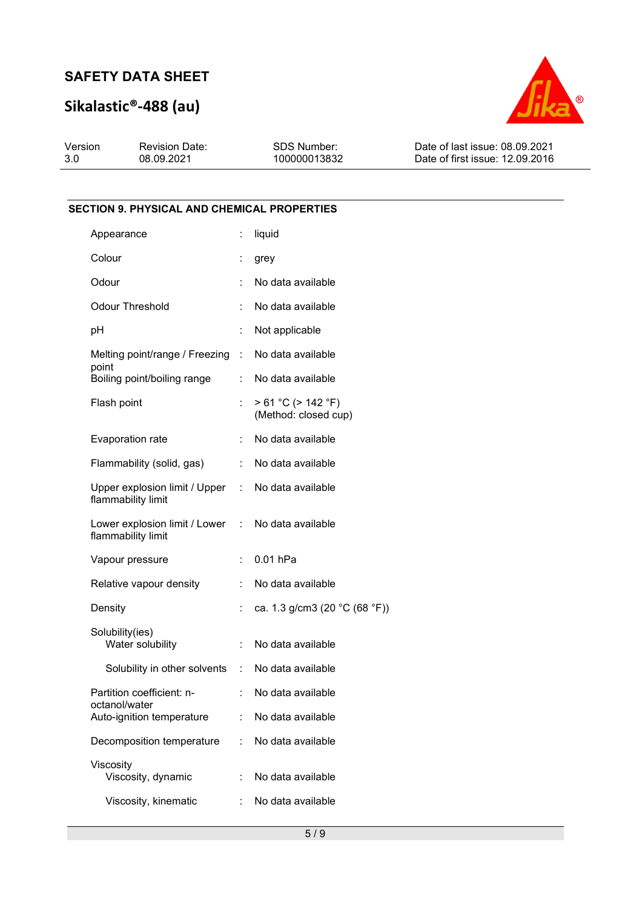# **Sikalastic®-488 (au)**



| Version | <b>Revision Date:</b> | SDS Number:  | Date of last issue: 08.09.2021  |
|---------|-----------------------|--------------|---------------------------------|
| 3.0     | 08.09.2021            | 100000013832 | Date of first issue: 12.09.2016 |

### **SECTION 9. PHYSICAL AND CHEMICAL PROPERTIES**

| Appearance                                                              | ÷.                        | liquid                                            |
|-------------------------------------------------------------------------|---------------------------|---------------------------------------------------|
| Colour                                                                  |                           | grey                                              |
| Odour                                                                   |                           | No data available                                 |
| Odour Threshold                                                         | t.                        | No data available                                 |
| рH                                                                      | Î.                        | Not applicable                                    |
| Melting point/range / Freezing :<br>point                               |                           | No data available                                 |
| Boiling point/boiling range                                             | $\mathbb{R}^{\mathbb{Z}}$ | No data available                                 |
| Flash point                                                             | ÷.                        | > 61 °C (> 142 °F)<br>(Method: closed cup)        |
| Evaporation rate                                                        | ÷.                        | No data available                                 |
| Flammability (solid, gas)                                               |                           | : No data available                               |
| Upper explosion limit / Upper : No data available<br>flammability limit |                           |                                                   |
| Lower explosion limit / Lower : No data available<br>flammability limit |                           |                                                   |
| Vapour pressure                                                         | $\mathbb{R}^{\mathbb{Z}}$ | $0.01$ hPa                                        |
| Relative vapour density                                                 | t.                        | No data available                                 |
| Density                                                                 |                           | ca. 1.3 g/cm3 (20 $^{\circ}$ C (68 $^{\circ}$ F)) |
| Solubility(ies)<br>Water solubility                                     | ÷.                        | No data available                                 |
| Solubility in other solvents : No data available                        |                           |                                                   |
| Partition coefficient: n-<br>octanol/water                              |                           | No data available                                 |
| Auto-ignition temperature                                               |                           | No data available                                 |
| Decomposition temperature                                               | ÷                         | No data available                                 |
| Viscosity<br>Viscosity, dynamic                                         | t.                        | No data available                                 |
| Viscosity, kinematic                                                    | ÷                         | No data available                                 |
|                                                                         |                           |                                                   |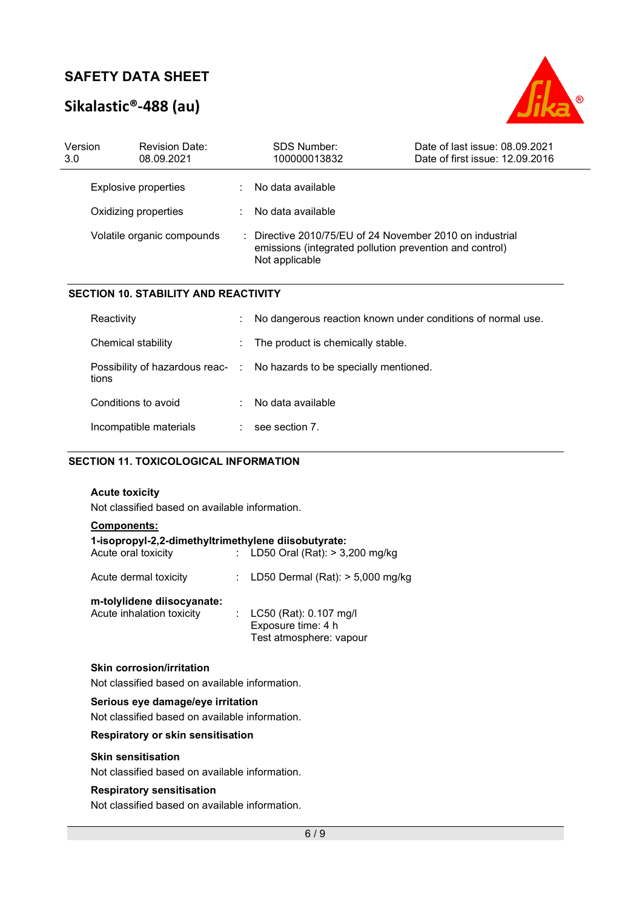# **Sikalastic®-488 (au)**



| Version<br>3.0             |  | <b>Revision Date:</b><br>08.09.2021                                                                                                              | SDS Number:<br>100000013832 | Date of last issue: 08.09.2021<br>Date of first issue: 12.09.2016 |
|----------------------------|--|--------------------------------------------------------------------------------------------------------------------------------------------------|-----------------------------|-------------------------------------------------------------------|
|                            |  | Explosive properties                                                                                                                             | No data available           |                                                                   |
| Oxidizing properties       |  | No data available                                                                                                                                |                             |                                                                   |
| Volatile organic compounds |  | $\therefore$ Directive 2010/75/EU of 24 November 2010 on industrial<br>emissions (integrated pollution prevention and control)<br>Not applicable |                             |                                                                   |
|                            |  | <b>SECTION 10. STABILITY AND REACTIVITY</b>                                                                                                      |                             |                                                                   |

| Reactivity             | ÷. | No dangerous reaction known under conditions of normal use.            |
|------------------------|----|------------------------------------------------------------------------|
| Chemical stability     |    | : The product is chemically stable.                                    |
| tions                  |    | Possibility of hazardous reac- : No hazards to be specially mentioned. |
| Conditions to avoid    | ÷. | No data available                                                      |
| Incompatible materials |    | see section 7.                                                         |

### **SECTION 11. TOXICOLOGICAL INFORMATION**

### **Acute toxicity**

Not classified based on available information.

| <b>Components:</b><br>1-isopropyl-2,2-dimethyltrimethylene diisobutyrate:<br>Acute oral toxicity | : LD50 Oral (Rat): $> 3,200$ mg/kg                                        |
|--------------------------------------------------------------------------------------------------|---------------------------------------------------------------------------|
| Acute dermal toxicity                                                                            | : LD50 Dermal (Rat): $>$ 5,000 mg/kg                                      |
| m-tolylidene diisocyanate:<br>Acute inhalation toxicity                                          | : LC50 (Rat): 0.107 mg/l<br>Exposure time: 4 h<br>Test atmosphere: vapour |

### **Skin corrosion/irritation**

Not classified based on available information.

### **Serious eye damage/eye irritation**

Not classified based on available information.

### **Respiratory or skin sensitisation**

### **Skin sensitisation**

Not classified based on available information.

### **Respiratory sensitisation**

Not classified based on available information.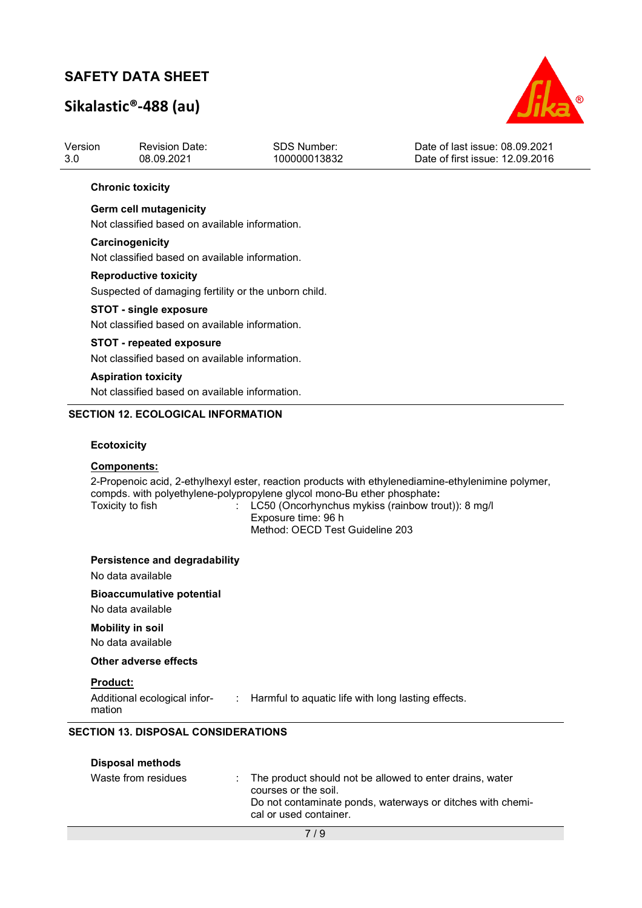# **Sikalastic®-488 (au)**



| Version | <b>Revision Date:</b> | SDS Number:  | Date of last issue: 08.09.2021  |
|---------|-----------------------|--------------|---------------------------------|
| -3.0    | 08.09.2021            | 100000013832 | Date of first issue: 12.09.2016 |
|         |                       |              |                                 |

### **Chronic toxicity**

### **Germ cell mutagenicity**

Not classified based on available information.

### **Carcinogenicity**

Not classified based on available information.

### **Reproductive toxicity**

Suspected of damaging fertility or the unborn child.

#### **STOT - single exposure**

Not classified based on available information.

#### **STOT - repeated exposure**

Not classified based on available information.

### **Aspiration toxicity**

Not classified based on available information.

### **SECTION 12. ECOLOGICAL INFORMATION**

### **Ecotoxicity**

### **Components:**

2-Propenoic acid, 2-ethylhexyl ester, reaction products with ethylenediamine-ethylenimine polymer, compds. with polyethylene-polypropylene glycol mono-Bu ether phosphate**:** 

: LC50 (Oncorhynchus mykiss (rainbow trout)): 8 mg/l Exposure time: 96 h Method: OECD Test Guideline 203

### **Persistence and degradability**

No data available

### **Bioaccumulative potential**

No data available

### **Mobility in soil**

No data available

### **Other adverse effects**

### **Product:**

| Additional ecological infor- | Harmful to aquatic life with long lasting effects. |
|------------------------------|----------------------------------------------------|
| mation                       |                                                    |

### **SECTION 13. DISPOSAL CONSIDERATIONS**

| <b>Disposal methods</b> |                                                                                                                                                                            |
|-------------------------|----------------------------------------------------------------------------------------------------------------------------------------------------------------------------|
| Waste from residues     | : The product should not be allowed to enter drains, water<br>courses or the soil.<br>Do not contaminate ponds, waterways or ditches with chemi-<br>cal or used container. |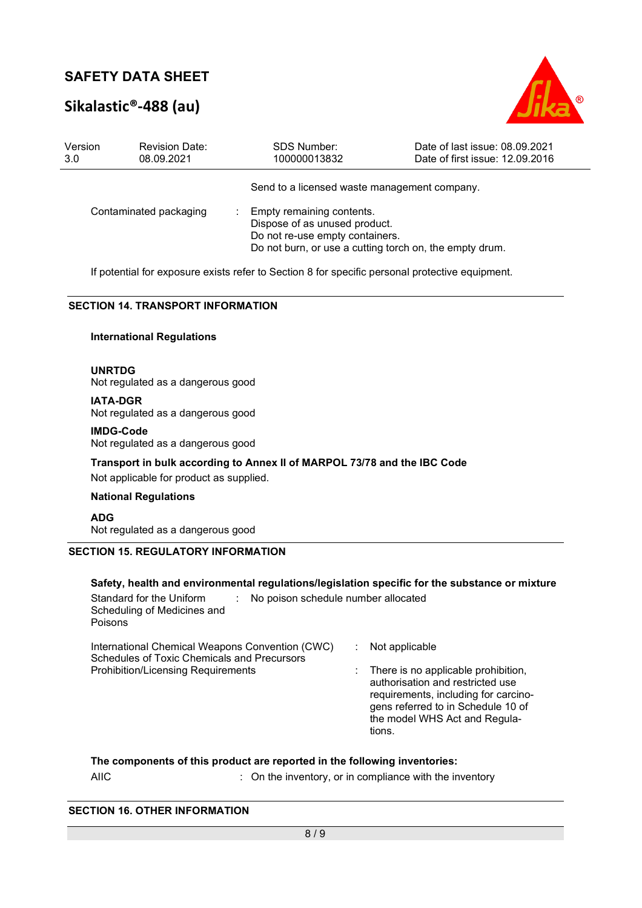# **Sikalastic®-488 (au)**



| Version<br>3.0         | <b>Revision Date:</b><br>08.09.2021 | <b>SDS Number:</b><br>100000013832                                                            | Date of last issue: 08.09.2021<br>Date of first issue: 12.09.2016 |
|------------------------|-------------------------------------|-----------------------------------------------------------------------------------------------|-------------------------------------------------------------------|
|                        |                                     | Send to a licensed waste management company.                                                  |                                                                   |
| Contaminated packaging |                                     | Empty remaining contents.<br>Dispose of as unused product.<br>Do not re-use empty containers. | Do not burn, or use a cutting torch on, the empty drum.           |

If potential for exposure exists refer to Section 8 for specific personal protective equipment.

### **SECTION 14. TRANSPORT INFORMATION**

### **International Regulations**

**UNRTDG**

Not regulated as a dangerous good

**IATA-DGR** Not regulated as a dangerous good

**IMDG-Code** Not regulated as a dangerous good

**Transport in bulk according to Annex II of MARPOL 73/78 and the IBC Code** 

Not applicable for product as supplied.

**National Regulations** 

**ADG** Not regulated as a dangerous good

### **SECTION 15. REGULATORY INFORMATION**

### **Safety, health and environmental regulations/legislation specific for the substance or mixture**

Standard for the Uniform Scheduling of Medicines and Poisons : No poison schedule number allocated International Chemical Weapons Convention (CWC) Schedules of Toxic Chemicals and Precursors : Not applicable Prohibition/Licensing Requirements : There is no applicable prohibition, authorisation and restricted use requirements, including for carcinogens referred to in Schedule 10 of the model WHS Act and Regulations.

### **The components of this product are reported in the following inventories:**

AIIC **interest and inventory**, or in compliance with the inventory

### **SECTION 16. OTHER INFORMATION**